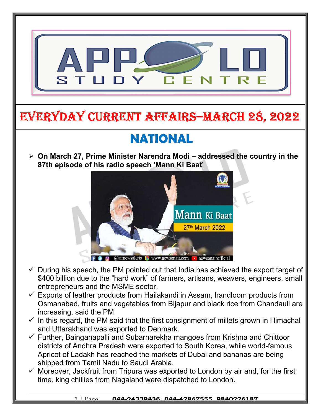

# EVERYDAY CURRENT AFFAIRS–mARCh 28, 2022

# NATIONAL

-

 $\triangleright$  On March 27, Prime Minister Narendra Modi – addressed the country in the 87th episode of his radio speech 'Mann Ki Baat'



- $\checkmark$  During his speech, the PM pointed out that India has achieved the export target of \$400 billion due to the "hard work" of farmers, artisans, weavers, engineers, small entrepreneurs and the MSME sector.
- $\checkmark$  Exports of leather products from Hailakandi in Assam, handloom products from Osmanabad, fruits and vegetables from Bijapur and black rice from Chandauli are increasing, said the PM
- $\checkmark$  In this regard, the PM said that the first consignment of millets grown in Himachal and Uttarakhand was exported to Denmark.
- $\checkmark$  Further, Bainganapalli and Subarnarekha mangoes from Krishna and Chittoor districts of Andhra Pradesh were exported to South Korea, while world-famous Apricot of Ladakh has reached the markets of Dubai and bananas are being shipped from Tamil Nadu to Saudi Arabia.
- $\checkmark$  Moreover, Jackfruit from Tripura was exported to London by air and, for the first time, king chillies from Nagaland were dispatched to London.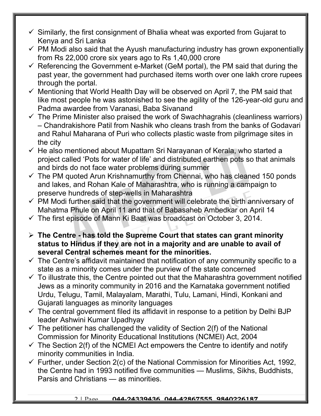- $\checkmark$  Similarly, the first consignment of Bhalia wheat was exported from Gujarat to Kenya and Sri Lanka
- $\checkmark$  PM Modi also said that the Ayush manufacturing industry has grown exponentially from Rs 22,000 crore six years ago to Rs 1,40,000 crore
- $\checkmark$  Referencing the Government e-Market (GeM portal), the PM said that during the past year, the government had purchased items worth over one lakh crore rupees through the portal.
- $\checkmark$  Mentioning that World Health Day will be observed on April 7, the PM said that like most people he was astonished to see the agility of the 126-year-old guru and Padma awardee from Varanasi, Baba Sivanand
- $\checkmark$  The Prime Minister also praised the work of Swachhagrahis (cleanliness warriors) – Chandrakishore Patil from Nashik who cleans trash from the banks of Godavari and Rahul Maharana of Puri who collects plastic waste from pilgrimage sites in the city
- $\checkmark$  He also mentioned about Mupattam Sri Narayanan of Kerala, who started a project called 'Pots for water of life' and distributed earthen pots so that animals and birds do not face water problems during summer
- $\checkmark$  The PM quoted Arun Krishnamurthy from Chennai, who has cleaned 150 ponds and lakes, and Rohan Kale of Maharashtra, who is running a campaign to preserve hundreds of step-wells in Maharashtra
- $\checkmark$  PM Modi further said that the government will celebrate the birth anniversary of Mahatma Phule on April 11 and that of Babasaheb Ambedkar on April 14
- $\checkmark$  The first episode of Mann Ki Baat was broadcast on October 3, 2014.
- $\triangleright$  The Centre has told the Supreme Court that states can grant minority status to Hindus if they are not in a majority and are unable to avail of several Central schemes meant for the minorities.
- $\checkmark$  The Centre's affidavit maintained that notification of any community specific to a state as a minority comes under the purview of the state concerned
- $\checkmark$  To illustrate this, the Centre pointed out that the Maharashtra government notified Jews as a minority community in 2016 and the Karnataka government notified Urdu, Telugu, Tamil, Malayalam, Marathi, Tulu, Lamani, Hindi, Konkani and Gujarati languages as minority languages
- $\checkmark$  The central government filed its affidavit in response to a petition by Delhi BJP leader Ashwini Kumar Upadhyay
- $\checkmark$  The petitioner has challenged the validity of Section 2(f) of the National Commission for Minority Educational Institutions (NCMEI) Act, 2004
- $\checkmark$  The Section 2(f) of the NCMEI Act empowers the Centre to identify and notify minority communities in India.
- $\checkmark$  Further, under Section 2(c) of the National Commission for Minorities Act, 1992, the Centre had in 1993 notified five communities — Muslims, Sikhs, Buddhists, Parsis and Christians — as minorities.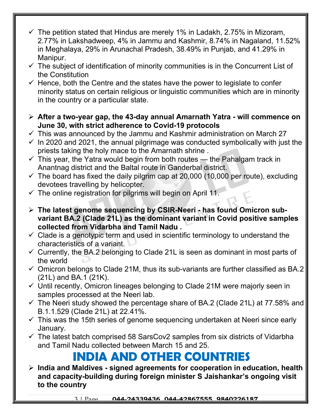- $\checkmark$  The petition stated that Hindus are merely 1% in Ladakh, 2.75% in Mizoram, 2.77% in Lakshadweep, 4% in Jammu and Kashmir, 8.74% in Nagaland, 11.52% in Meghalaya, 29% in Arunachal Pradesh, 38.49% in Punjab, and 41.29% in Manipur.
- $\checkmark$  The subject of identification of minority communities is in the Concurrent List of the Constitution
- $\checkmark$  Hence, both the Centre and the states have the power to legislate to confer minority status on certain religious or linguistic communities which are in minority in the country or a particular state.
- After a two-year gap, the 43-day annual Amarnath Yatra will commence on June 30, with strict adherence to Covid-19 protocols
- $\checkmark$  This was announced by the Jammu and Kashmir administration on March 27
- $\checkmark$  In 2020 and 2021, the annual pilgrimage was conducted symbolically with just the priests taking the holy mace to the Amarnath shrine .
- $\checkmark$  This year, the Yatra would begin from both routes the Pahalgam track in Anantnag district and the Baltal route in Ganderbal district.
- $\checkmark$  The board has fixed the daily pilgrim cap at 20,000 (10,000 per route), excluding devotees travelling by helicopter.
- $\checkmark$  The online registration for pilgrims will begin on April 11.
- $\triangleright$  The latest genome sequencing by CSIR-Neeri has found Omicron subvariant BA.2 (Clade 21L) as the dominant variant in Covid positive samples collected from Vidarbha and Tamil Nadu .
- $\checkmark$  Clade is a genotypic term and used in scientific terminology to understand the characteristics of a variant.
- $\checkmark$  Currently, the BA.2 belonging to Clade 21L is seen as dominant in most parts of the world
- $\checkmark$  Omicron belongs to Clade 21M, thus its sub-variants are further classified as BA.2 (21L) and BA.1 (21K).
- $\checkmark$  Until recently, Omicron lineages belonging to Clade 21M were majorly seen in samples processed at the Neeri lab.
- $\checkmark$  The Neeri study showed the percentage share of BA.2 (Clade 21L) at 77.58% and B.1.1.529 (Clade 21L) at 22.41%.
- $\checkmark$  This was the 15th series of genome sequencing undertaken at Neeri since early January.
- $\checkmark$  The latest batch comprised 58 SarsCov2 samples from six districts of Vidarbha and Tamil Nadu collected between March 15 and 25.

## INDIA AND OTHER COUNTRIES

 $\triangleright$  India and Maldives - signed agreements for cooperation in education, health and capacity-building during foreign minister S Jaishankar's ongoing visit to the country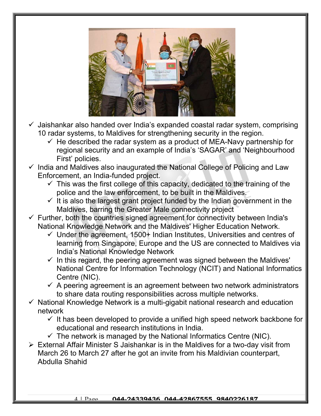

- $\checkmark$  Jaishankar also handed over India's expanded coastal radar system, comprising 10 radar systems, to Maldives for strengthening security in the region.
	- $\checkmark$  He described the radar system as a product of MEA-Navy partnership for regional security and an example of India's 'SAGAR' and 'Neighbourhood First' policies.
- $\checkmark$  India and Maldives also inaugurated the National College of Policing and Law Enforcement, an India-funded project.
	- $\checkmark$  This was the first college of this capacity, dedicated to the training of the police and the law enforcement, to be built in the Maldives.
	- $\checkmark$  It is also the largest grant project funded by the Indian government in the Maldives, barring the Greater Male connectivity project
- $\checkmark$  Further, both the countries signed agreement for connectivity between India's National Knowledge Network and the Maldives' Higher Education Network.
	- $\checkmark$  Under the agreement, 1500+ Indian Institutes, Universities and centres of learning from Singapore, Europe and the US are connected to Maldives via India's National Knowledge Network
	- $\checkmark$  In this regard, the peering agreement was signed between the Maldives' National Centre for Information Technology (NCIT) and National Informatics Centre (NIC).
	- $\checkmark$  A peering agreement is an agreement between two network administrators to share data routing responsibilities across multiple networks.
- $\checkmark$  National Knowledge Network is a multi-gigabit national research and education network
	- $\checkmark$  It has been developed to provide a unified high speed network backbone for educational and research institutions in India.
	- $\checkmark$  The network is managed by the National Informatics Centre (NIC).
- External Affair Minister S Jaishankar is in the Maldives for a two-day visit from March 26 to March 27 after he got an invite from his Maldivian counterpart, Abdulla Shahid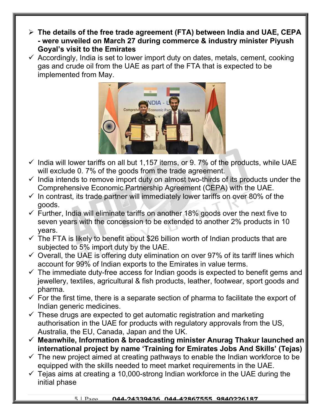- $\triangleright$  The details of the free trade agreement (FTA) between India and UAE, CEPA - were unveiled on March 27 during commerce & industry minister Piyush Goyal's visit to the Emirates
- $\checkmark$  Accordingly, India is set to lower import duty on dates, metals, cement, cooking gas and crude oil from the UAE as part of the FTA that is expected to be implemented from May.



- $\checkmark$  India will lower tariffs on all but 1,157 items, or 9.7% of the products, while UAE will exclude 0. 7% of the goods from the trade agreement.
- $\checkmark$  India intends to remove import duty on almost two-thirds of its products under the Comprehensive Economic Partnership Agreement (CEPA) with the UAE.
- $\checkmark$  In contrast, its trade partner will immediately lower tariffs on over 80% of the goods.
- $\checkmark$  Further, India will eliminate tariffs on another 18% goods over the next five to seven years with the concession to be extended to another 2% products in 10 years.
- $\checkmark$  The FTA is likely to benefit about \$26 billion worth of Indian products that are subjected to 5% import duty by the UAE.
- $\checkmark$  Overall, the UAE is offering duty elimination on over 97% of its tariff lines which account for 99% of Indian exports to the Emirates in value terms.
- $\checkmark$  The immediate duty-free access for Indian goods is expected to benefit gems and jewellery, textiles, agricultural & fish products, leather, footwear, sport goods and pharma.
- $\checkmark$  For the first time, there is a separate section of pharma to facilitate the export of Indian generic medicines.
- $\checkmark$  These drugs are expected to get automatic registration and marketing authorisation in the UAE for products with regulatory approvals from the US, Australia, the EU, Canada, Japan and the UK.
- $\checkmark$  Meanwhile, Information & broadcasting minister Anurag Thakur launched an international project by name 'Training for Emirates Jobs And Skills' (Tejas)
- $\checkmark$  The new project aimed at creating pathways to enable the Indian workforce to be equipped with the skills needed to meet market requirements in the UAE.
- $\checkmark$  Tejas aims at creating a 10,000-strong Indian workforce in the UAE during the initial phase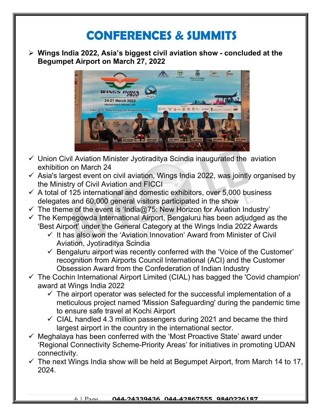### CONFERENCES & SUMMITS

 $\triangleright$  Wings India 2022, Asia's biggest civil aviation show - concluded at the Begumpet Airport on March 27, 2022



- $\checkmark$  Union Civil Aviation Minister Jyotiraditya Scindia inaugurated the aviation exhibition on March 24
- $\checkmark$  Asia's largest event on civil aviation, Wings India 2022, was jointly organised by the Ministry of Civil Aviation and FICCI
- $\checkmark$  A total of 125 international and domestic exhibitors, over 5,000 business delegates and 60,000 general visitors participated in the show
- $\checkmark$  The theme of the event is 'India@75: New Horizon for Aviation Industry'
- $\checkmark$  The Kempegowda International Airport, Bengaluru has been adjudged as the 'Best Airport' under the General Category at the Wings India 2022 Awards
	- $\checkmark$  It has also won the 'Aviation Innovation' Award from Minister of Civil Aviation, Jyotiraditya Scindia
	- $\checkmark$  Bengaluru airport was recently conferred with the 'Voice of the Customer' recognition from Airports Council International (ACI) and the Customer Obsession Award from the Confederation of Indian Industry
- $\checkmark$  The Cochin International Airport Limited (CIAL) has bagged the 'Covid champion' award at Wings India 2022
	- $\checkmark$  The airport operator was selected for the successful implementation of a meticulous project named 'Mission Safeguarding' during the pandemic time to ensure safe travel at Kochi Airport
	- $\checkmark$  CIAL handled 4.3 million passengers during 2021 and became the third largest airport in the country in the international sector.
- $\checkmark$  Meghalaya has been conferred with the 'Most Proactive State' award under 'Regional Connectivity Scheme-Priority Areas' for initiatives in promoting UDAN connectivity.
- $\checkmark$  The next Wings India show will be held at Begumpet Airport, from March 14 to 17, 2024.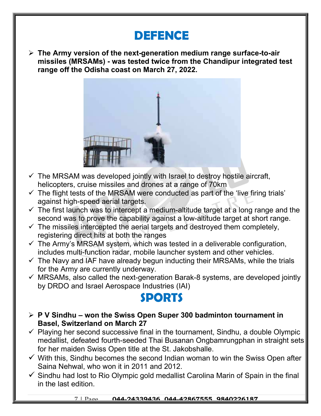### DEFENCE

 $\triangleright$  The Army version of the next-generation medium range surface-to-air missiles (MRSAMs) - was tested twice from the Chandipur integrated test range off the Odisha coast on March 27, 2022.



- $\checkmark$  The MRSAM was developed jointly with Israel to destroy hostile aircraft, helicopters, cruise missiles and drones at a range of 70km
- $\checkmark$  The flight tests of the MRSAM were conducted as part of the 'live firing trials' against high-speed aerial targets.
- $\checkmark$  The first launch was to intercept a medium-altitude target at a long range and the second was to prove the capability against a low-altitude target at short range.
- $\checkmark$  The missiles intercepted the aerial targets and destroyed them completely, registering direct hits at both the ranges
- $\checkmark$  The Army's MRSAM system, which was tested in a deliverable configuration, includes multi-function radar, mobile launcher system and other vehicles.
- $\checkmark$  The Navy and IAF have already begun inducting their MRSAMs, while the trials for the Army are currently underway.
- $\checkmark$  MRSAMs, also called the next-generation Barak-8 systems, are developed jointly by DRDO and Israel Aerospace Industries (IAI)

#### SPORTS

- $\triangleright$  P V Sindhu won the Swiss Open Super 300 badminton tournament in Basel, Switzerland on March 27
- $\checkmark$  Playing her second successive final in the tournament, Sindhu, a double Olympic medallist, defeated fourth-seeded Thai Busanan Ongbamrungphan in straight sets for her maiden Swiss Open title at the St. Jakobshalle.
- $\checkmark$  With this, Sindhu becomes the second Indian woman to win the Swiss Open after Saina Nehwal, who won it in 2011 and 2012.
- $\checkmark$  Sindhu had lost to Rio Olympic gold medallist Carolina Marin of Spain in the final in the last edition.